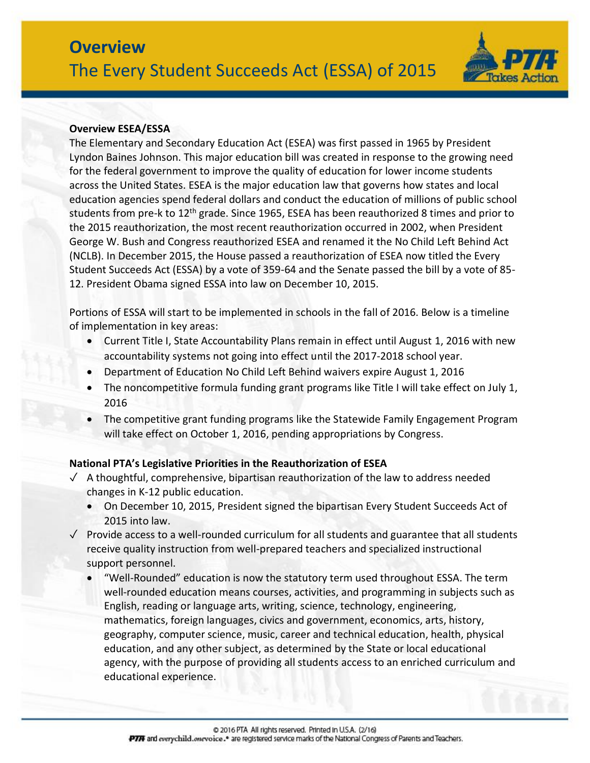

### **Overview ESEA/ESSA**

The Elementary and Secondary Education Act (ESEA) was first passed in 1965 by President Lyndon Baines Johnson. This major education bill was created in response to the growing need for the federal government to improve the quality of education for lower income students across the United States. ESEA is the major education law that governs how states and local education agencies spend federal dollars and conduct the education of millions of public school students from pre-k to 12<sup>th</sup> grade. Since 1965, ESEA has been reauthorized 8 times and prior to the 2015 reauthorization, the most recent reauthorization occurred in 2002, when President George W. Bush and Congress reauthorized ESEA and renamed it the No Child Left Behind Act (NCLB). In December 2015, the House passed a reauthorization of ESEA now titled the Every Student Succeeds Act (ESSA) by a vote of 359-64 and the Senate passed the bill by a vote of 85- 12. President Obama signed ESSA into law on December 10, 2015.

Portions of ESSA will start to be implemented in schools in the fall of 2016. Below is a timeline of implementation in key areas:

- Current Title I, State Accountability Plans remain in effect until August 1, 2016 with new accountability systems not going into effect until the 2017-2018 school year.
- Department of Education No Child Left Behind waivers expire August 1, 2016
- The noncompetitive formula funding grant programs like Title I will take effect on July 1, 2016
- The competitive grant funding programs like the Statewide Family Engagement Program will take effect on October 1, 2016, pending appropriations by Congress.

# **National PTA's Legislative Priorities in the Reauthorization of ESEA**

- $\sqrt{ }$  A thoughtful, comprehensive, bipartisan reauthorization of the law to address needed changes in K-12 public education.
	- On December 10, 2015, President signed the bipartisan Every Student Succeeds Act of 2015 into law.
- ✓ Provide access to a well-rounded curriculum for all students and guarantee that all students receive quality instruction from well-prepared teachers and specialized instructional support personnel.
	- "Well-Rounded" education is now the statutory term used throughout ESSA. The term well-rounded education means courses, activities, and programming in subjects such as English, reading or language arts, writing, science, technology, engineering, mathematics, foreign languages, civics and government, economics, arts, history, geography, computer science, music, career and technical education, health, physical education, and any other subject, as determined by the State or local educational agency, with the purpose of providing all students access to an enriched curriculum and educational experience.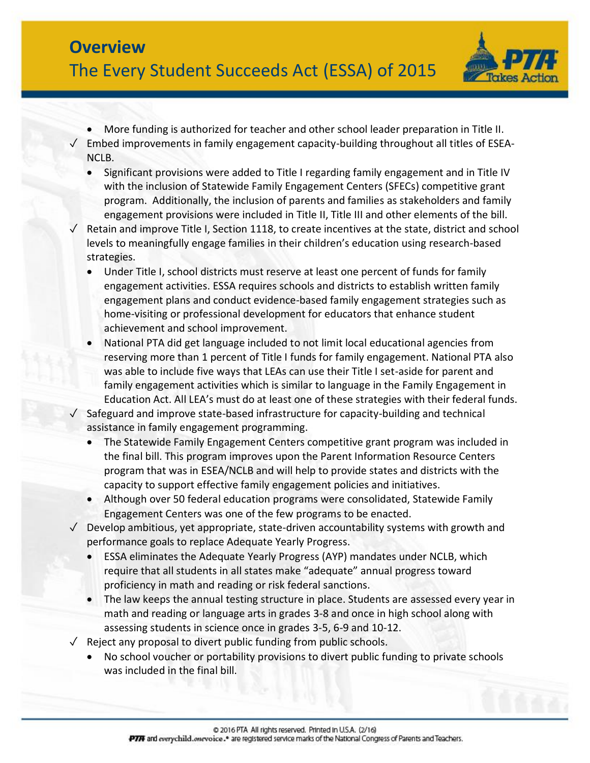

- More funding is authorized for teacher and other school leader preparation in Title II.
- $\sqrt{\phantom{a}}$  Embed improvements in family engagement capacity-building throughout all titles of ESEA-NCLB.
	- Significant provisions were added to Title I regarding family engagement and in Title IV with the inclusion of Statewide Family Engagement Centers (SFECs) competitive grant program. Additionally, the inclusion of parents and families as stakeholders and family engagement provisions were included in Title II, Title III and other elements of the bill.
- Retain and improve Title I, Section 1118, to create incentives at the state, district and school levels to meaningfully engage families in their children's education using research-based strategies.
	- Under Title I, school districts must reserve at least one percent of funds for family engagement activities. ESSA requires schools and districts to establish written family engagement plans and conduct evidence-based family engagement strategies such as home-visiting or professional development for educators that enhance student achievement and school improvement.
	- National PTA did get language included to not limit local educational agencies from reserving more than 1 percent of Title I funds for family engagement. National PTA also was able to include five ways that LEAs can use their Title I set-aside for parent and family engagement activities which is similar to language in the Family Engagement in Education Act. All LEA's must do at least one of these strategies with their federal funds.
- ✓ Safeguard and improve state-based infrastructure for capacity-building and technical assistance in family engagement programming.
	- The Statewide Family Engagement Centers competitive grant program was included in the final bill. This program improves upon the Parent Information Resource Centers program that was in ESEA/NCLB and will help to provide states and districts with the capacity to support effective family engagement policies and initiatives.
	- Although over 50 federal education programs were consolidated, Statewide Family Engagement Centers was one of the few programs to be enacted.
- $\sqrt{ }$  Develop ambitious, yet appropriate, state-driven accountability systems with growth and performance goals to replace Adequate Yearly Progress.
	- ESSA eliminates the Adequate Yearly Progress (AYP) mandates under NCLB, which require that all students in all states make "adequate" annual progress toward proficiency in math and reading or risk federal sanctions.
	- The law keeps the annual testing structure in place. Students are assessed every year in math and reading or language arts in grades 3-8 and once in high school along with assessing students in science once in grades 3-5, 6-9 and 10-12.
- $\sqrt{\phantom{a}}$  Reject any proposal to divert public funding from public schools.
	- No school voucher or portability provisions to divert public funding to private schools was included in the final bill.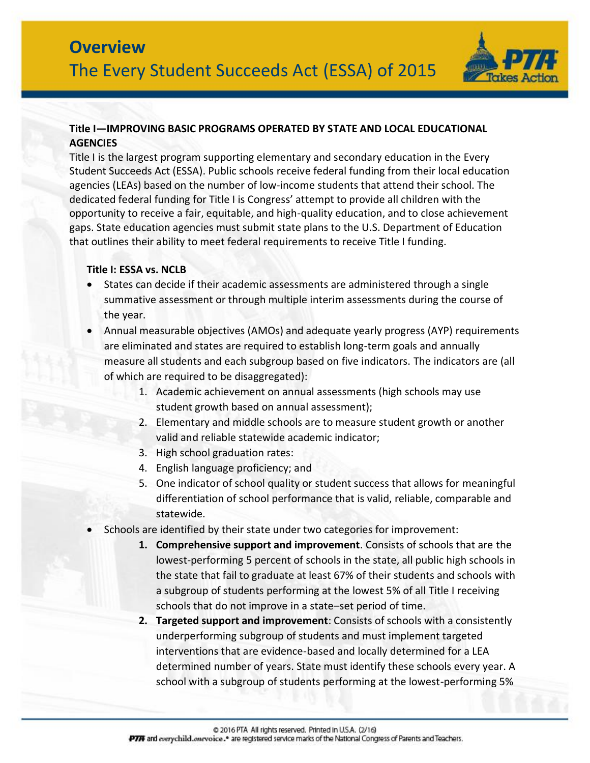

# **Title I—IMPROVING BASIC PROGRAMS OPERATED BY STATE AND LOCAL EDUCATIONAL AGENCIES**

Title I is the largest program supporting elementary and secondary education in the Every Student Succeeds Act (ESSA). Public schools receive federal funding from their local education agencies (LEAs) based on the number of low-income students that attend their school. The dedicated federal funding for Title I is Congress' attempt to provide all children with the opportunity to receive a fair, equitable, and high-quality education, and to close achievement gaps. State education agencies must submit state plans to the U.S. Department of Education that outlines their ability to meet federal requirements to receive Title I funding.

#### **Title I: ESSA vs. NCLB**

- States can decide if their academic assessments are administered through a single summative assessment or through multiple interim assessments during the course of the year.
- Annual measurable objectives (AMOs) and adequate yearly progress (AYP) requirements are eliminated and states are required to establish long-term goals and annually measure all students and each subgroup based on five indicators. The indicators are (all of which are required to be disaggregated):
	- 1. Academic achievement on annual assessments (high schools may use student growth based on annual assessment);
	- 2. Elementary and middle schools are to measure student growth or another valid and reliable statewide academic indicator;
	- 3. High school graduation rates:
	- 4. English language proficiency; and
	- 5. One indicator of school quality or student success that allows for meaningful differentiation of school performance that is valid, reliable, comparable and statewide.
- Schools are identified by their state under two categories for improvement:
	- **1. Comprehensive support and improvement**. Consists of schools that are the lowest-performing 5 percent of schools in the state, all public high schools in the state that fail to graduate at least 67% of their students and schools with a subgroup of students performing at the lowest 5% of all Title I receiving schools that do not improve in a state–set period of time.
	- **2. Targeted support and improvement**: Consists of schools with a consistently underperforming subgroup of students and must implement targeted interventions that are evidence-based and locally determined for a LEA determined number of years. State must identify these schools every year. A school with a subgroup of students performing at the lowest-performing 5%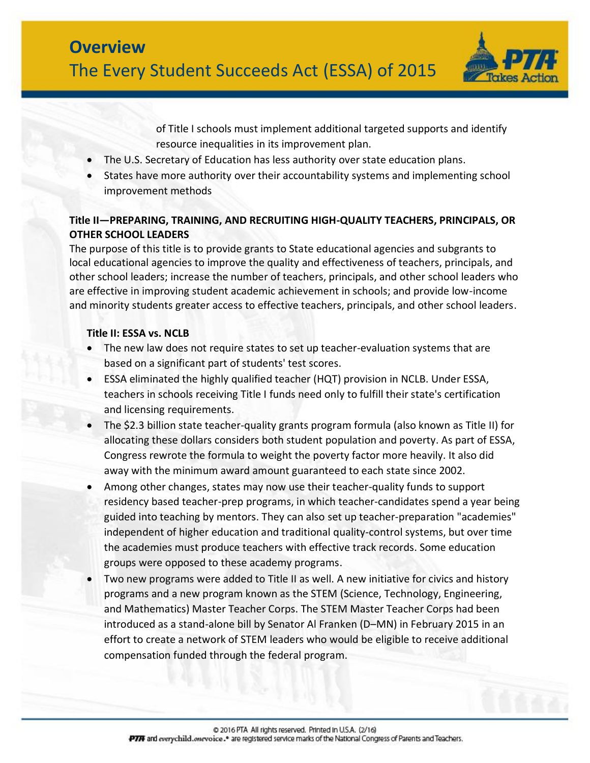

of Title I schools must implement additional targeted supports and identify resource inequalities in its improvement plan.

- The U.S. Secretary of Education has less authority over state education plans.
- States have more authority over their accountability systems and implementing school improvement methods

# **Title II—PREPARING, TRAINING, AND RECRUITING HIGH-QUALITY TEACHERS, PRINCIPALS, OR OTHER SCHOOL LEADERS**

The purpose of this title is to provide grants to State educational agencies and subgrants to local educational agencies to improve the quality and effectiveness of teachers, principals, and other school leaders; increase the number of teachers, principals, and other school leaders who are effective in improving student academic achievement in schools; and provide low-income and minority students greater access to effective teachers, principals, and other school leaders.

# **Title II: ESSA vs. NCLB**

- The new law does not require states to set up teacher-evaluation systems that are based on a significant part of students' test scores.
- ESSA eliminated the highly qualified teacher (HQT) provision in NCLB. Under ESSA, teachers in schools receiving Title I funds need only to fulfill their state's certification and licensing requirements.
- The \$2.3 billion state teacher-quality grants program formula (also known as Title II) for allocating these dollars considers both student population and poverty. As part of ESSA, Congress rewrote the formula to weight the poverty factor more heavily. It also did away with the minimum award amount guaranteed to each state since 2002.
- Among other changes, states may now use their teacher-quality funds to support residency based teacher-prep programs, in which teacher-candidates spend a year being guided into teaching by mentors. They can also set up teacher-preparation "academies" independent of higher education and traditional quality-control systems, but over time the academies must produce teachers with effective track records. Some education groups were opposed to these academy programs.
- Two new programs were added to Title II as well. A new initiative for civics and history programs and a new program known as the STEM (Science, Technology, Engineering, and Mathematics) Master Teacher Corps. The STEM Master Teacher Corps had been introduced as a stand-alone bill by Senator Al Franken (D–MN) in February 2015 in an effort to create a network of STEM leaders who would be eligible to receive additional compensation funded through the federal program.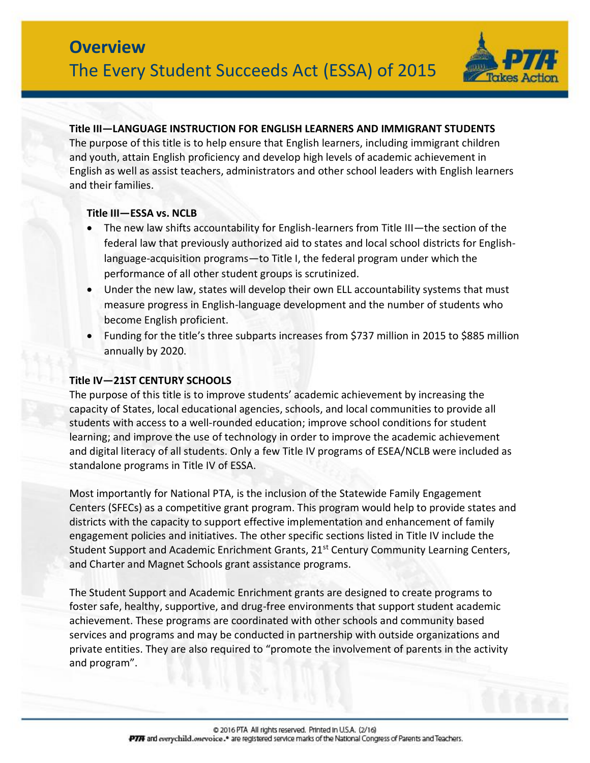

#### **Title III—LANGUAGE INSTRUCTION FOR ENGLISH LEARNERS AND IMMIGRANT STUDENTS**

The purpose of this title is to help ensure that English learners, including immigrant children and youth, attain English proficiency and develop high levels of academic achievement in English as well as assist teachers, administrators and other school leaders with English learners and their families.

### **Title III—ESSA vs. NCLB**

- The new law shifts accountability for English-learners from Title III—the section of the federal law that previously authorized aid to states and local school districts for Englishlanguage-acquisition programs—to Title I, the federal program under which the performance of all other student groups is scrutinized.
- Under the new law, states will develop their own ELL accountability systems that must measure progress in English-language development and the number of students who become English proficient.
- Funding for the title's three subparts increases from \$737 million in 2015 to \$885 million annually by 2020.

### **Title IV—21ST CENTURY SCHOOLS**

The purpose of this title is to improve students' academic achievement by increasing the capacity of States, local educational agencies, schools, and local communities to provide all students with access to a well-rounded education; improve school conditions for student learning; and improve the use of technology in order to improve the academic achievement and digital literacy of all students. Only a few Title IV programs of ESEA/NCLB were included as standalone programs in Title IV of ESSA.

Most importantly for National PTA, is the inclusion of the Statewide Family Engagement Centers (SFECs) as a competitive grant program. This program would help to provide states and districts with the capacity to support effective implementation and enhancement of family engagement policies and initiatives. The other specific sections listed in Title IV include the Student Support and Academic Enrichment Grants, 21<sup>st</sup> Century Community Learning Centers, and Charter and Magnet Schools grant assistance programs.

The Student Support and Academic Enrichment grants are designed to create programs to foster safe, healthy, supportive, and drug-free environments that support student academic achievement. These programs are coordinated with other schools and community based services and programs and may be conducted in partnership with outside organizations and private entities. They are also required to "promote the involvement of parents in the activity and program".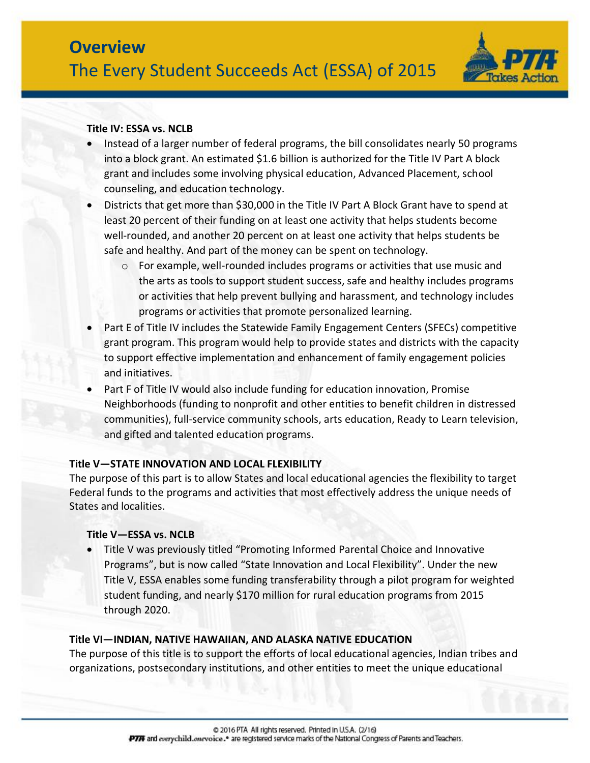

### **Title IV: ESSA vs. NCLB**

- Instead of a larger number of federal programs, the bill consolidates nearly 50 programs into a block grant. An estimated \$1.6 billion is authorized for the Title IV Part A block grant and includes some involving physical education, Advanced Placement, school counseling, and education technology.
- Districts that get more than \$30,000 in the Title IV Part A Block Grant have to spend at least 20 percent of their funding on at least one activity that helps students become well-rounded, and another 20 percent on at least one activity that helps students be safe and healthy. And part of the money can be spent on technology.
	- $\circ$  For example, well-rounded includes programs or activities that use music and the arts as tools to support student success, safe and healthy includes programs or activities that help prevent bullying and harassment, and technology includes programs or activities that promote personalized learning.
- Part E of Title IV includes the Statewide Family Engagement Centers (SFECs) competitive grant program. This program would help to provide states and districts with the capacity to support effective implementation and enhancement of family engagement policies and initiatives.
- Part F of Title IV would also include funding for education innovation, Promise Neighborhoods (funding to nonprofit and other entities to benefit children in distressed communities), full-service community schools, arts education, Ready to Learn television, and gifted and talented education programs.

#### **Title V—STATE INNOVATION AND LOCAL FLEXIBILITY**

The purpose of this part is to allow States and local educational agencies the flexibility to target Federal funds to the programs and activities that most effectively address the unique needs of States and localities.

#### **Title V—ESSA vs. NCLB**

 Title V was previously titled "Promoting Informed Parental Choice and Innovative Programs", but is now called "State Innovation and Local Flexibility". Under the new Title V, ESSA enables some funding transferability through a pilot program for weighted student funding, and nearly \$170 million for rural education programs from 2015 through 2020.

# **Title VI—INDIAN, NATIVE HAWAIIAN, AND ALASKA NATIVE EDUCATION**

The purpose of this title is to support the efforts of local educational agencies, Indian tribes and organizations, postsecondary institutions, and other entities to meet the unique educational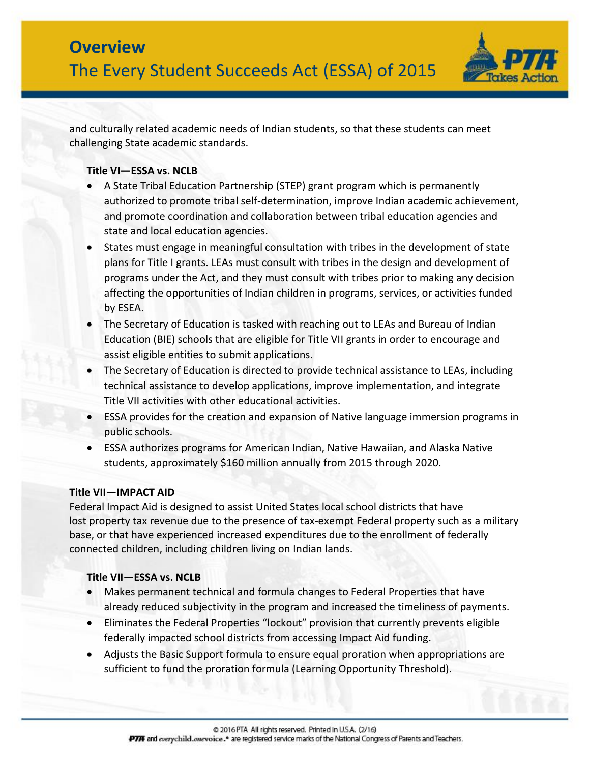

and culturally related academic needs of Indian students, so that these students can meet challenging State academic standards.

# **Title VI—ESSA vs. NCLB**

- A State Tribal Education Partnership (STEP) grant program which is permanently authorized to promote tribal self-determination, improve Indian academic achievement, and promote coordination and collaboration between tribal education agencies and state and local education agencies.
- States must engage in meaningful consultation with tribes in the development of state plans for Title I grants. LEAs must consult with tribes in the design and development of programs under the Act, and they must consult with tribes prior to making any decision affecting the opportunities of Indian children in programs, services, or activities funded by ESEA.
- The Secretary of Education is tasked with reaching out to LEAs and Bureau of Indian Education (BIE) schools that are eligible for Title VII grants in order to encourage and assist eligible entities to submit applications.
- The Secretary of Education is directed to provide technical assistance to LEAs, including technical assistance to develop applications, improve implementation, and integrate Title VII activities with other educational activities.
- ESSA provides for the creation and expansion of Native language immersion programs in public schools.
- ESSA authorizes programs for American Indian, Native Hawaiian, and Alaska Native students, approximately \$160 million annually from 2015 through 2020.

# **Title VII—IMPACT AID**

Federal Impact Aid is designed to assist United States local school districts that have lost property tax revenue due to the presence of tax-exempt Federal property such as a military base, or that have experienced increased expenditures due to the enrollment of federally connected children, including children living on Indian lands.

# **Title VII—ESSA vs. NCLB**

- Makes permanent technical and formula changes to Federal Properties that have already reduced subjectivity in the program and increased the timeliness of payments.
- Eliminates the Federal Properties "lockout" provision that currently prevents eligible federally impacted school districts from accessing Impact Aid funding.
- Adjusts the Basic Support formula to ensure equal proration when appropriations are sufficient to fund the proration formula (Learning Opportunity Threshold).